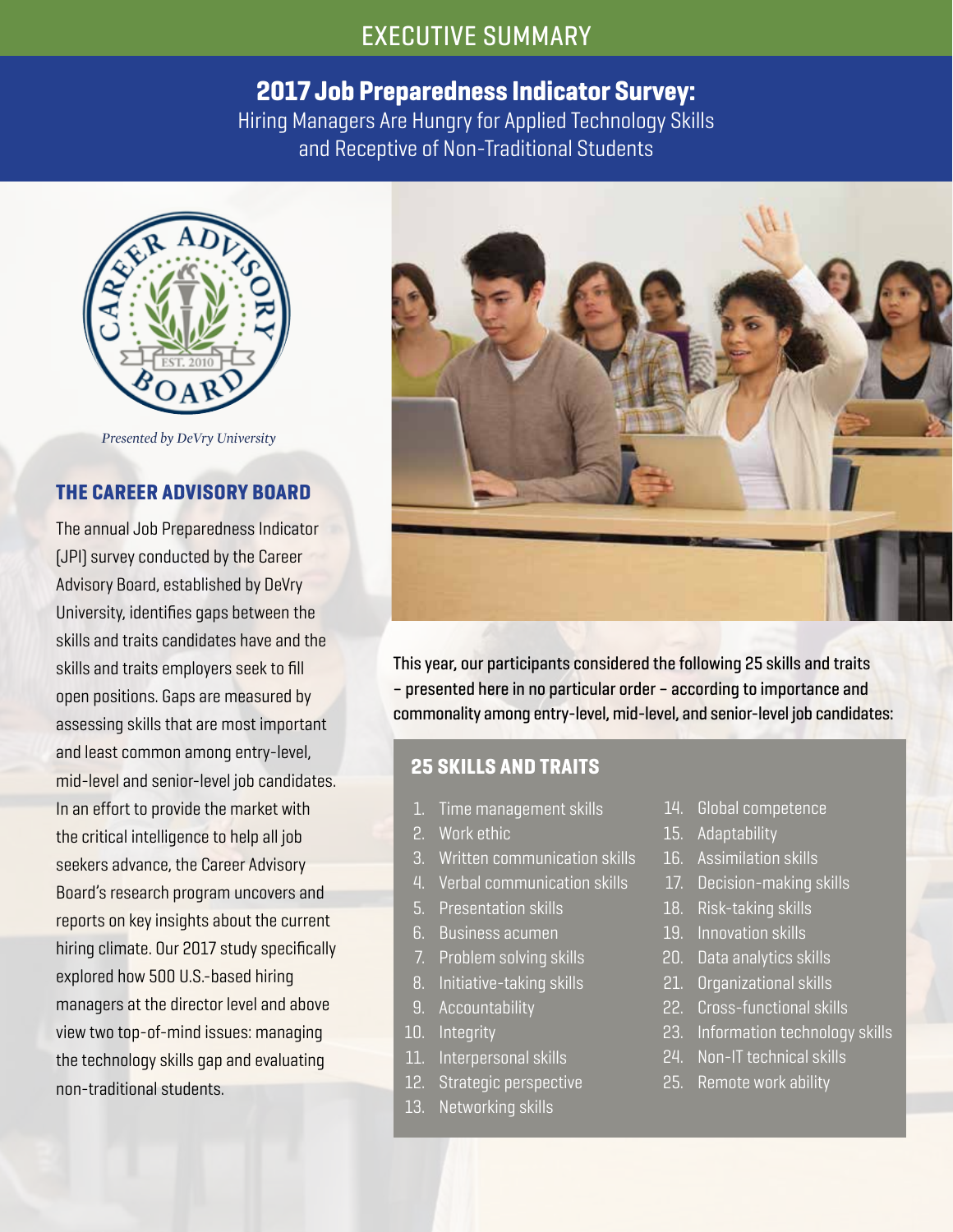# EXECUTIVE SUMMARY

# 2017 Job Preparedness Indicator Survey:

Hiring Managers Are Hungry for Applied Technology Skills and Receptive of Non-Traditional Students



*Presented by DeVry University*

#### THE CAREER ADVISORY BOARD

The annual Job Preparedness Indicator (JPI) survey conducted by the Career Advisory Board, established by DeVry University, identifies gaps between the skills and traits candidates have and the skills and traits employers seek to fill open positions. Gaps are measured by assessing skills that are most important and least common among entry-level, mid-level and senior-level job candidates. In an effort to provide the market with the critical intelligence to help all job seekers advance, the Career Advisory Board's research program uncovers and reports on key insights about the current hiring climate. Our 2017 study specifically explored how 500 U.S.-based hiring managers at the director level and above view two top-of-mind issues: managing the technology skills gap and evaluating non-traditional students.



This year, our participants considered the following 25 skills and traits – presented here in no particular order – according to importance and commonality among entry-level, mid-level, and senior-level job candidates:

#### 25 SKILLS AND TRAITS

- 1. Time management skills
- 2. Work ethic
- 3. Written communication skills
- 4. Verbal communication skills
- 5. Presentation skills
- 6. Business acumen
- 7. Problem solving skills
- 8. Initiative-taking skills
- 9. Accountability
- 10. Integrity
- 11. Interpersonal skills
- 12. Strategic perspective
- 13. Networking skills
- 14. Global competence
- 15. Adaptability
- 16. Assimilation skills
- 17. Decision-making skills
- 18. Risk-taking skills
- 19. Innovation skills
- 20. Data analytics skills
- 21. Organizational skills
- 22. Cross-functional skills
- 23. Information technology skills
- 24. Non-IT technical skills
- 25. Remote work ability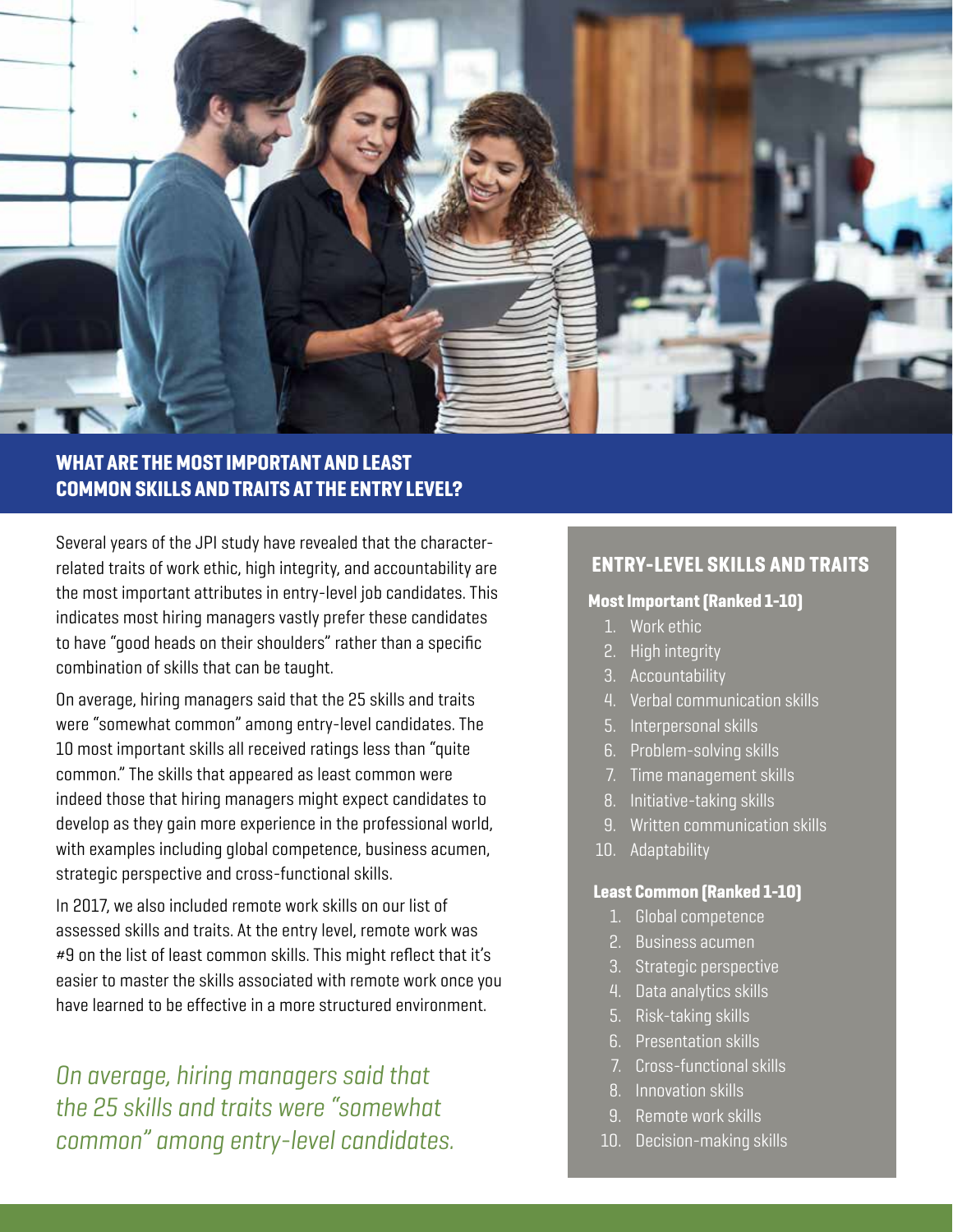

## WHAT ARE THE MOST IMPORTANT AND LEAST COMMON SKILLS AND TRAITS AT THE ENTRY LEVEL?

Several years of the JPI study have revealed that the characterrelated traits of work ethic, high integrity, and accountability are the most important attributes in entry-level job candidates. This indicates most hiring managers vastly prefer these candidates to have "good heads on their shoulders" rather than a specific combination of skills that can be taught.

On average, hiring managers said that the 25 skills and traits were "somewhat common" among entry-level candidates. The 10 most important skills all received ratings less than "quite common." The skills that appeared as least common were indeed those that hiring managers might expect candidates to develop as they gain more experience in the professional world, with examples including global competence, business acumen, strategic perspective and cross-functional skills.

In 2017, we also included remote work skills on our list of assessed skills and traits. At the entry level, remote work was #9 on the list of least common skills. This might reflect that it's easier to master the skills associated with remote work once you have learned to be effective in a more structured environment.

*On average, hiring managers said that the 25 skills and traits were "somewhat common" among entry-level candidates.*

### ENTRY-LEVEL SKILLS AND TRAITS

#### Most Important (Ranked 1-10)

- 1. Work ethic
- 2. High integrity
- 3. Accountability
- 4. Verbal communication skills
- 5. Interpersonal skills
- 6. Problem-solving skills
- 7. Time management skills
- 8. Initiative-taking skills
- 9. Written communication skills
- 10. Adaptability

#### Least Common (Ranked 1-10)

- 1. Global competence
- 2. Business acumen
- 3. Strategic perspective
- 4. Data analytics skills
- 5. Risk-taking skills
- 6. Presentation skills
- 7. Cross-functional skills
- 8. Innovation skills
- 9. Remote work skills
- 10. Decision-making skills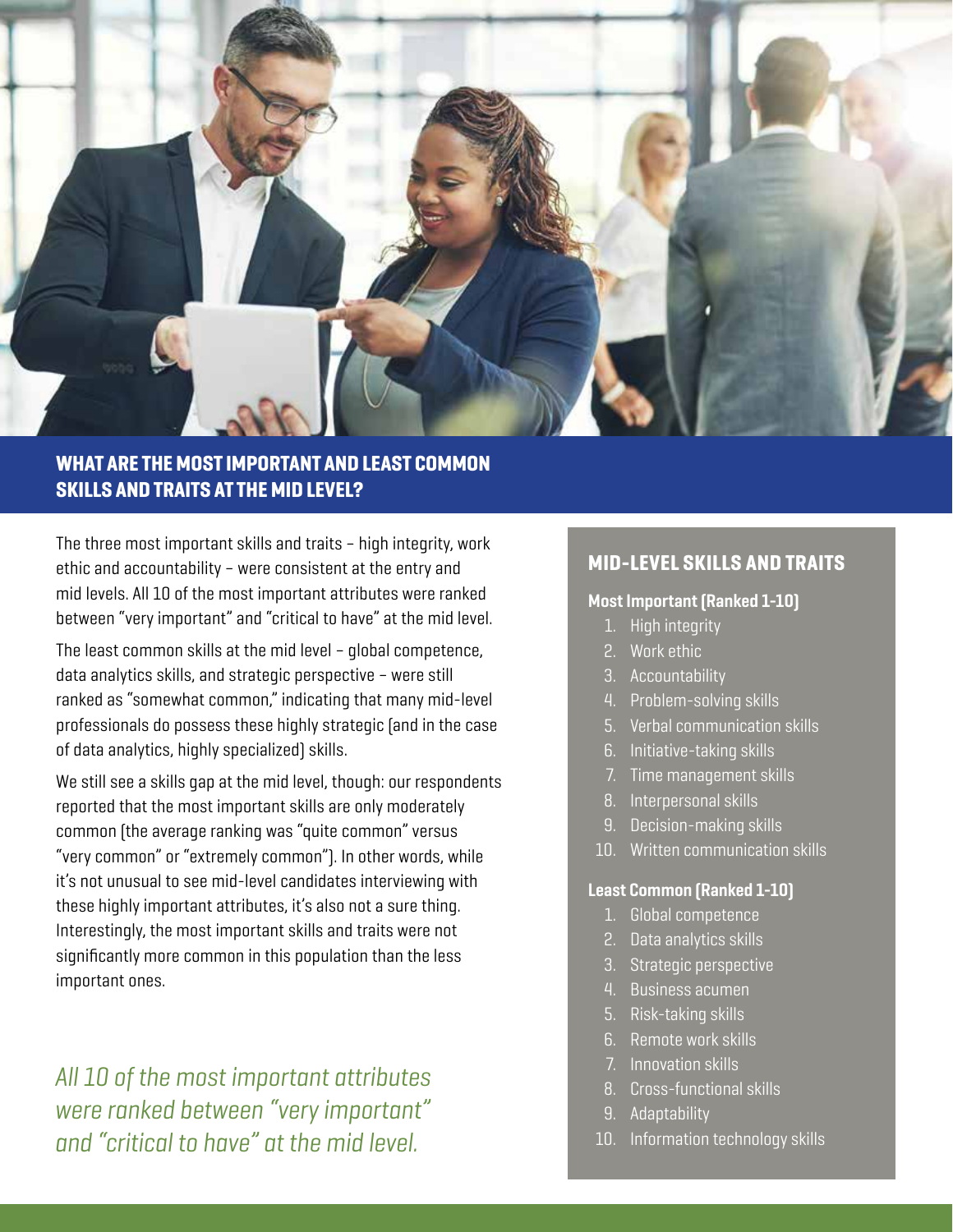

## WHAT ARE THE MOST IMPORTANT AND LEAST COMMON SKILLS AND TRAITS AT THE MID LEVEL?

The three most important skills and traits – high integrity, work ethic and accountability – were consistent at the entry and mid levels. All 10 of the most important attributes were ranked between "very important" and "critical to have" at the mid level.

The least common skills at the mid level – global competence, data analytics skills, and strategic perspective – were still ranked as "somewhat common," indicating that many mid-level professionals do possess these highly strategic (and in the case of data analytics, highly specialized) skills.

We still see a skills gap at the mid level, though: our respondents reported that the most important skills are only moderately common (the average ranking was "quite common" versus "very common" or "extremely common"). In other words, while it's not unusual to see mid-level candidates interviewing with these highly important attributes, it's also not a sure thing. Interestingly, the most important skills and traits were not significantly more common in this population than the less important ones.

*All 10 of the most important attributes were ranked between "very important" and "critical to have" at the mid level.*

### MID-LEVEL SKILLS AND TRAITS

#### Most Important (Ranked 1-10)

- 1. High integrity
- 2. Work ethic
- 3. Accountability
- 4. Problem-solving skills
- 5. Verbal communication skills
- 6. Initiative-taking skills
- 7. Time management skills
- 8. Interpersonal skills
- 9. Decision-making skills
- 10. Written communication skills

#### Least Common (Ranked 1-10)

- 1. Global competence
- 2. Data analytics skills
- 3. Strategic perspective
- 4. Business acumen
- 5. Risk-taking skills
- 6. Remote work skills
- 7. Innovation skills
- 8. Cross-functional skills
- 9. Adaptability
- 10. Information technology skills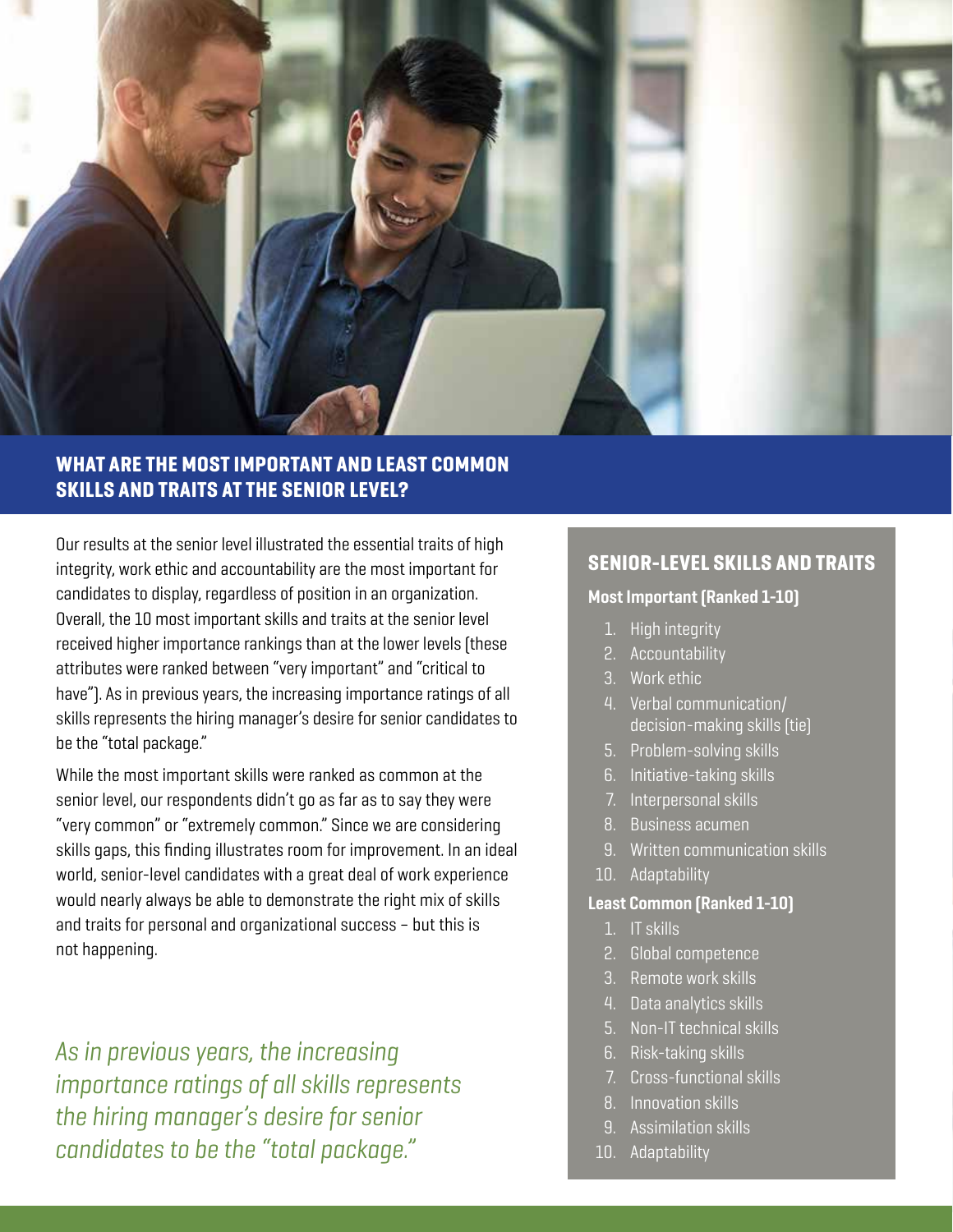

## WHAT ARE THE MOST IMPORTANT AND LEAST COMMON SKILLS AND TRAITS AT THE SENIOR LEVEL?

Our results at the senior level illustrated the essential traits of high integrity, work ethic and accountability are the most important for candidates to display, regardless of position in an organization. Overall, the 10 most important skills and traits at the senior level received higher importance rankings than at the lower levels (these attributes were ranked between "very important" and "critical to have"). As in previous years, the increasing importance ratings of all skills represents the hiring manager's desire for senior candidates to be the "total package."

While the most important skills were ranked as common at the senior level, our respondents didn't go as far as to say they were "very common" or "extremely common." Since we are considering skills gaps, this finding illustrates room for improvement. In an ideal world, senior-level candidates with a great deal of work experience would nearly always be able to demonstrate the right mix of skills and traits for personal and organizational success – but this is not happening.

*As in previous years, the increasing importance ratings of all skills represents the hiring manager's desire for senior candidates to be the "total package."*

### SENIOR-LEVEL SKILLS AND TRAITS

#### Most Important (Ranked 1-10)

- 1. High integrity
- 2. Accountability
- 3. Work ethic
- 4. Verbal communication/ decision-making skills (tie)
- 5. Problem-solving skills
- 6. Initiative-taking skills
- 7. Interpersonal skills
- 8. Business acumen
- 9. Written communication skills
- 10. Adaptability

#### Least Common (Ranked 1-10)

- 1. IT skills
- 2. Global competence
- 3. Remote work skills
- 4. Data analytics skills
- 5. Non-IT technical skills
- 6. Risk-taking skills
- 7. Cross-functional skills
- 8. Innovation skills
- 9. Assimilation skills
- 10. Adaptability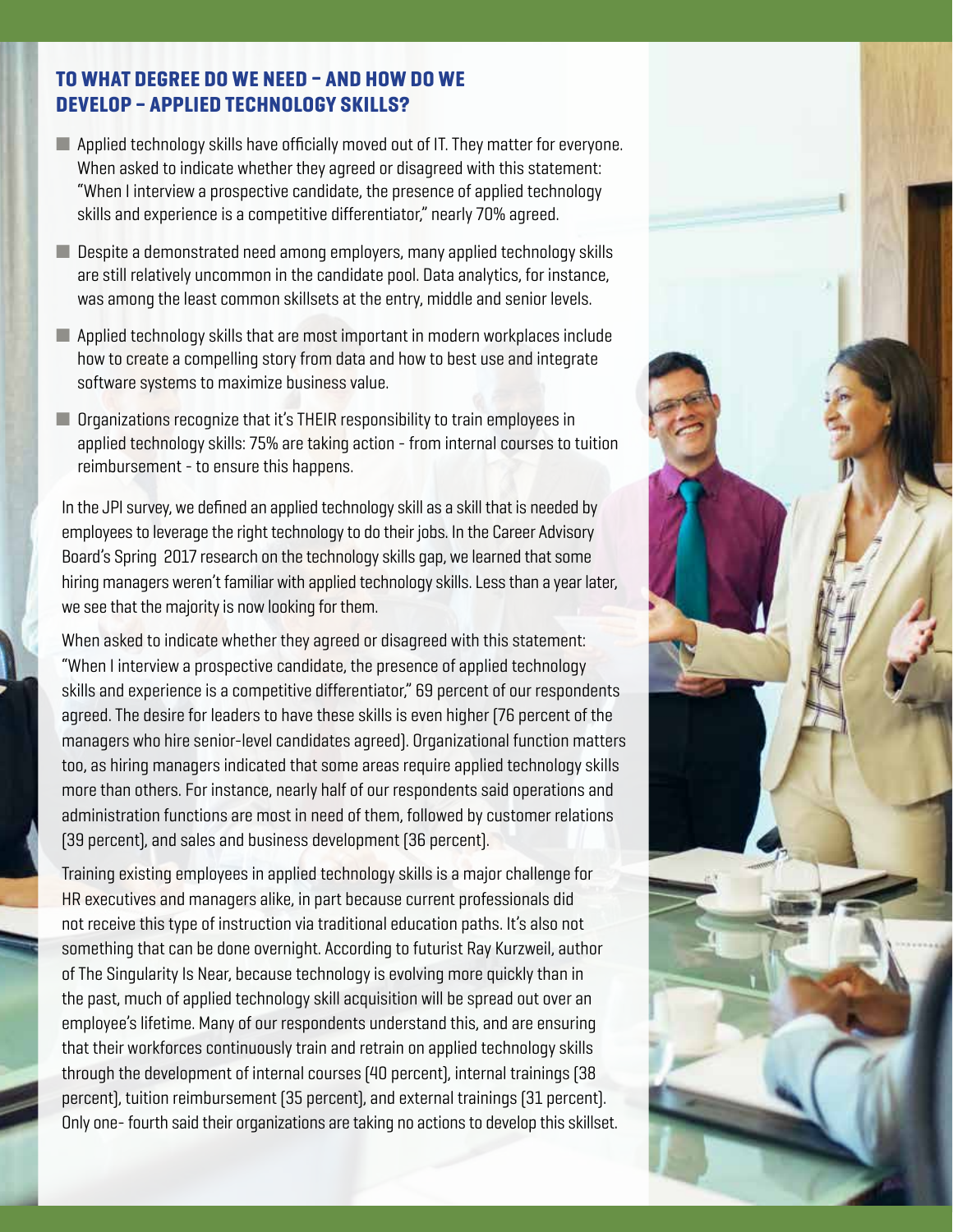### TO WHAT DEGREE DO WE NEED – AND HOW DO WE DEVELOP – APPLIED TECHNOLOGY SKILLS?

- $\blacksquare$  Applied technology skills have officially moved out of IT. They matter for everyone. When asked to indicate whether they agreed or disagreed with this statement: "When I interview a prospective candidate, the presence of applied technology skills and experience is a competitive differentiator," nearly 70% agreed.
- $\blacksquare$  Despite a demonstrated need among employers, many applied technology skills are still relatively uncommon in the candidate pool. Data analytics, for instance, was among the least common skillsets at the entry, middle and senior levels.
- $\blacksquare$  Applied technology skills that are most important in modern workplaces include how to create a compelling story from data and how to best use and integrate software systems to maximize business value.
- $\blacksquare$  Organizations recognize that it's THEIR responsibility to train employees in applied technology skills: 75% are taking action - from internal courses to tuition reimbursement - to ensure this happens.

In the JPI survey, we defined an applied technology skill as a skill that is needed by employees to leverage the right technology to do their jobs. In the Career Advisory Board's Spring 2017 research on the technology skills gap, we learned that some hiring managers weren't familiar with applied technology skills. Less than a year later, we see that the majority is now looking for them.

When asked to indicate whether they agreed or disagreed with this statement: "When I interview a prospective candidate, the presence of applied technology skills and experience is a competitive differentiator," 69 percent of our respondents agreed. The desire for leaders to have these skills is even higher (76 percent of the managers who hire senior-level candidates agreed). Organizational function matters too, as hiring managers indicated that some areas require applied technology skills more than others. For instance, nearly half of our respondents said operations and administration functions are most in need of them, followed by customer relations (39 percent), and sales and business development (36 percent).

Training existing employees in applied technology skills is a major challenge for HR executives and managers alike, in part because current professionals did not receive this type of instruction via traditional education paths. It's also not something that can be done overnight. According to futurist Ray Kurzweil, author of The Singularity Is Near, because technology is evolving more quickly than in the past, much of applied technology skill acquisition will be spread out over an employee's lifetime. Many of our respondents understand this, and are ensuring that their workforces continuously train and retrain on applied technology skills through the development of internal courses (40 percent), internal trainings (38 percent), tuition reimbursement (35 percent), and external trainings (31 percent). Only one- fourth said their organizations are taking no actions to develop this skillset.

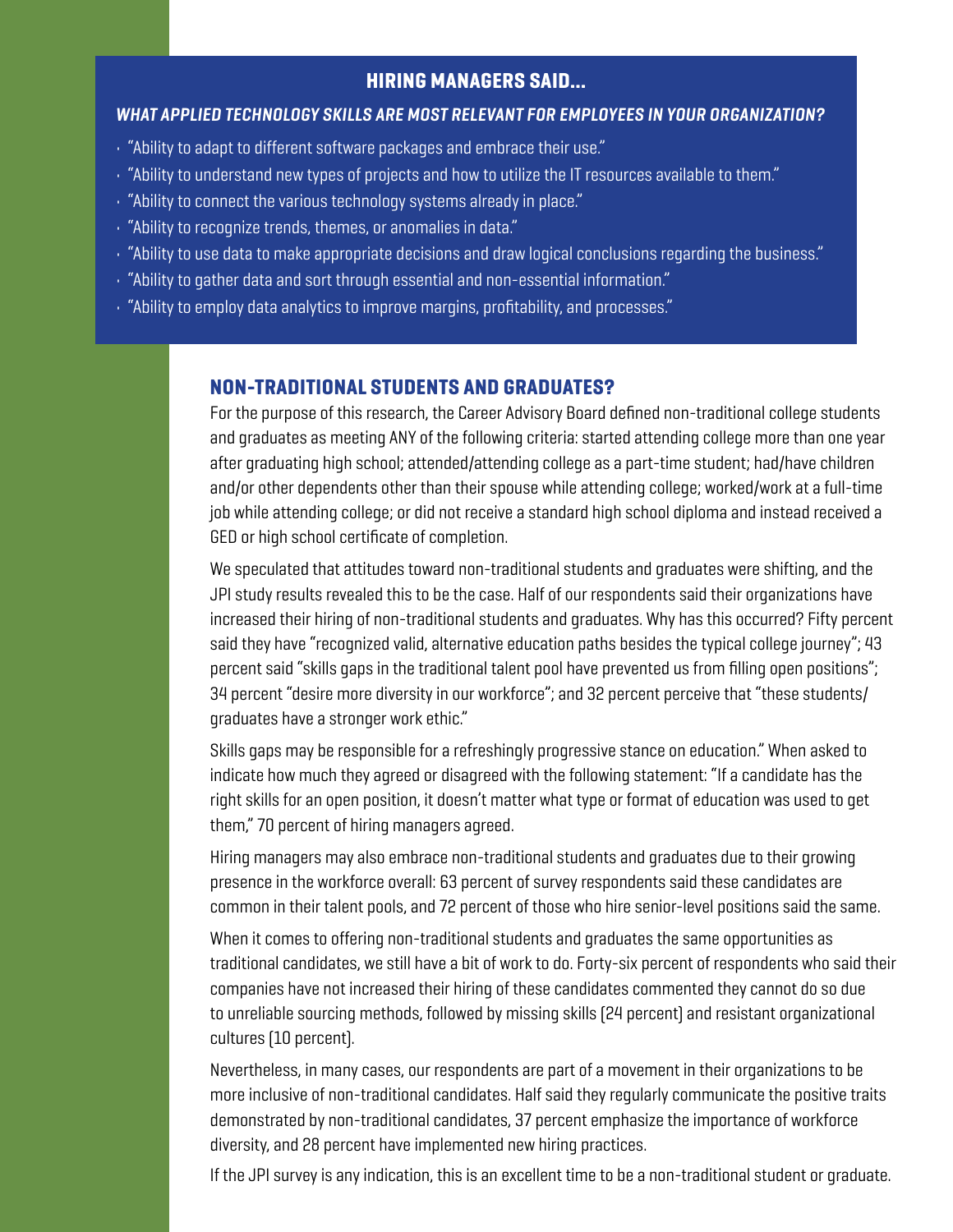### HIRING MANAGERS SAID...

#### *WHAT APPLIED TECHNOLOGY SKILLS ARE MOST RELEVANT FOR EMPLOYEES IN YOUR ORGANIZATION?*

- "Ability to adapt to different software packages and embrace their use."
- "Ability to understand new types of projects and how to utilize the IT resources available to them."
- "Ability to connect the various technology systems already in place."
- "Ability to recognize trends, themes, or anomalies in data."
- "Ability to use data to make appropriate decisions and draw logical conclusions regarding the business."
- "Ability to gather data and sort through essential and non-essential information."
- "Ability to employ data analytics to improve margins, profitability, and processes."

#### NON-TRADITIONAL STUDENTS AND GRADUATES?

For the purpose of this research, the Career Advisory Board defined non-traditional college students and graduates as meeting ANY of the following criteria: started attending college more than one year after graduating high school; attended/attending college as a part-time student; had/have children and/or other dependents other than their spouse while attending college; worked/work at a full-time job while attending college; or did not receive a standard high school diploma and instead received a GED or high school certificate of completion.

We speculated that attitudes toward non-traditional students and graduates were shifting, and the JPI study results revealed this to be the case. Half of our respondents said their organizations have increased their hiring of non-traditional students and graduates. Why has this occurred? Fifty percent said they have "recognized valid, alternative education paths besides the typical college journey"; 43 percent said "skills gaps in the traditional talent pool have prevented us from filling open positions"; 34 percent "desire more diversity in our workforce"; and 32 percent perceive that "these students/ graduates have a stronger work ethic."

Skills gaps may be responsible for a refreshingly progressive stance on education." When asked to indicate how much they agreed or disagreed with the following statement: "If a candidate has the right skills for an open position, it doesn't matter what type or format of education was used to get them," 70 percent of hiring managers agreed.

Hiring managers may also embrace non-traditional students and graduates due to their growing presence in the workforce overall: 63 percent of survey respondents said these candidates are common in their talent pools, and 72 percent of those who hire senior-level positions said the same.

When it comes to offering non-traditional students and graduates the same opportunities as traditional candidates, we still have a bit of work to do. Forty-six percent of respondents who said their companies have not increased their hiring of these candidates commented they cannot do so due to unreliable sourcing methods, followed by missing skills (24 percent) and resistant organizational cultures (10 percent).

Nevertheless, in many cases, our respondents are part of a movement in their organizations to be more inclusive of non-traditional candidates. Half said they regularly communicate the positive traits demonstrated by non-traditional candidates, 37 percent emphasize the importance of workforce diversity, and 28 percent have implemented new hiring practices.

If the JPI survey is any indication, this is an excellent time to be a non-traditional student or graduate.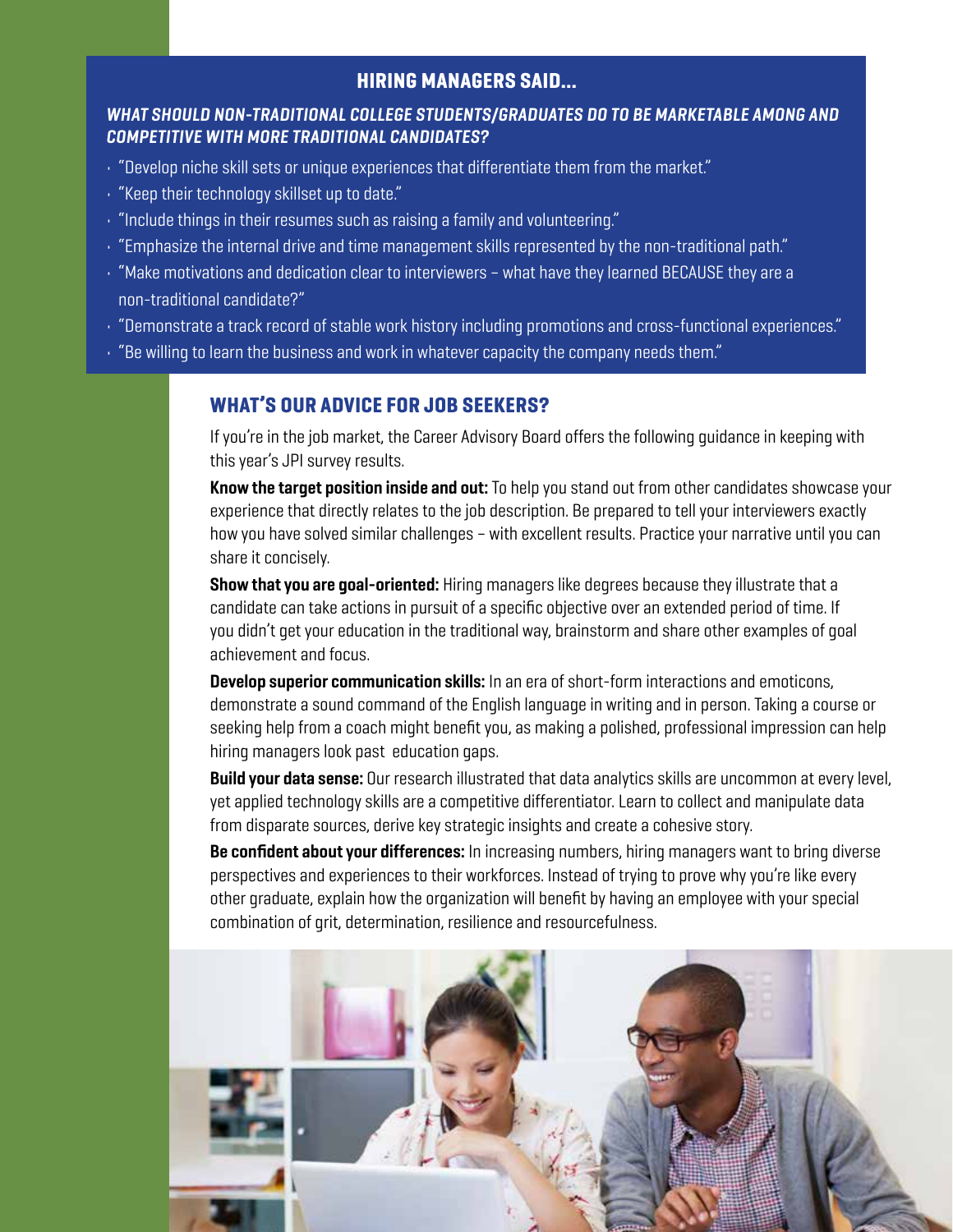### HIRING MANAGERS SAID...

#### *WHAT SHOULD NON-TRADITIONAL COLLEGE STUDENTS/GRADUATES DO TO BE MARKETABLE AMONG AND COMPETITIVE WITH MORE TRADITIONAL CANDIDATES?*

- "Develop niche skill sets or unique experiences that differentiate them from the market."
- "Keep their technology skillset up to date."
- "Include things in their resumes such as raising a family and volunteering."
- $\cdot$  "Emphasize the internal drive and time management skills represented by the non-traditional path."
- "Make motivations and dedication clear to interviewers what have they learned BECAUSE they are a non-traditional candidate?"
- "Demonstrate a track record of stable work history including promotions and cross-functional experiences."
- $\cdot$  "Be willing to learn the business and work in whatever capacity the company needs them."

#### WHAT'S OUR ADVICE FOR JOB SEEKERS?

If you're in the job market, the Career Advisory Board offers the following guidance in keeping with this year's JPI survey results.

Know the target position inside and out: To help you stand out from other candidates showcase your experience that directly relates to the job description. Be prepared to tell your interviewers exactly how you have solved similar challenges – with excellent results. Practice your narrative until you can share it concisely.

**Show that you are goal-oriented:** Hiring managers like degrees because they illustrate that a candidate can take actions in pursuit of a specific objective over an extended period of time. If you didn't get your education in the traditional way, brainstorm and share other examples of goal achievement and focus.

**Develop superior communication skills:** In an era of short-form interactions and emoticons, demonstrate a sound command of the English language in writing and in person. Taking a course or seeking help from a coach might benefit you, as making a polished, professional impression can help hiring managers look past education gaps.

Build your data sense: Our research illustrated that data analytics skills are uncommon at every level, yet applied technology skills are a competitive differentiator. Learn to collect and manipulate data from disparate sources, derive key strategic insights and create a cohesive story.

Be confident about your differences: In increasing numbers, hiring managers want to bring diverse perspectives and experiences to their workforces. Instead of trying to prove why you're like every other graduate, explain how the organization will benefit by having an employee with your special combination of grit, determination, resilience and resourcefulness.